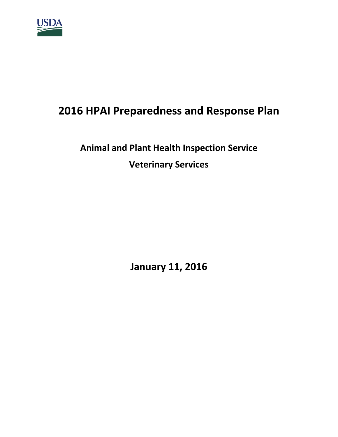

## **2016 HPAI Preparedness and Response Plan**

# **Animal and Plant Health Inspection Service Veterinary Services**

**January 11, 2016**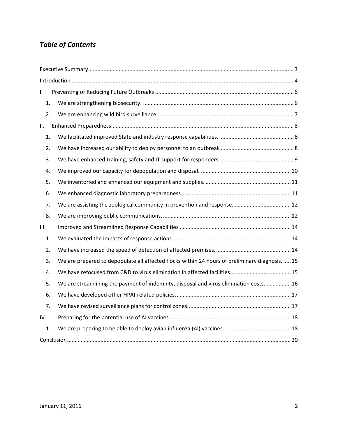## *Table of Contents*

| I.   |    |                                                                                                 |  |  |
|------|----|-------------------------------------------------------------------------------------------------|--|--|
|      | 1. |                                                                                                 |  |  |
|      | 2. |                                                                                                 |  |  |
| ΙΙ.  |    |                                                                                                 |  |  |
|      | 1. |                                                                                                 |  |  |
|      | 2. |                                                                                                 |  |  |
|      | 3. |                                                                                                 |  |  |
|      | 4. |                                                                                                 |  |  |
|      | 5. |                                                                                                 |  |  |
|      | 6. |                                                                                                 |  |  |
|      | 7. |                                                                                                 |  |  |
|      | 8. |                                                                                                 |  |  |
| III. |    |                                                                                                 |  |  |
|      | 1. |                                                                                                 |  |  |
|      | 2. |                                                                                                 |  |  |
|      | 3. | We are prepared to depopulate all affected flocks within 24 hours of preliminary diagnosis.  15 |  |  |
|      | 4. |                                                                                                 |  |  |
|      | 5. | We are streamlining the payment of indemnity, disposal and virus elimination costs.  16         |  |  |
|      | 6. |                                                                                                 |  |  |
|      | 7. |                                                                                                 |  |  |
| IV.  |    |                                                                                                 |  |  |
|      | 1. |                                                                                                 |  |  |
|      |    |                                                                                                 |  |  |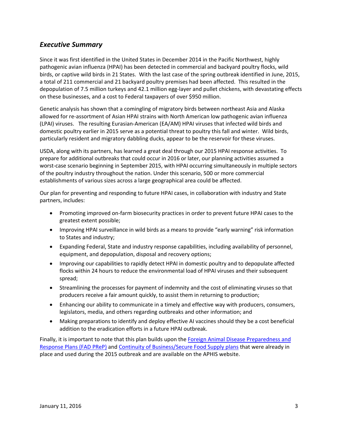## <span id="page-2-0"></span>*Executive Summary*

Since it was first identified in the United States in December 2014 in the Pacific Northwest, highly pathogenic avian influenza (HPAI) has been detected in commercial and backyard poultry flocks, wild birds, or captive wild birds in 21 States. With the last case of the spring outbreak identified in June, 2015, a total of 211 commercial and 21 backyard poultry premises had been affected. This resulted in the depopulation of 7.5 million turkeys and 42.1 million egg-layer and pullet chickens, with devastating effects on these businesses, and a cost to Federal taxpayers of over \$950 million.

Genetic analysis has shown that a comingling of migratory birds between northeast Asia and Alaska allowed for re-assortment of Asian HPAI strains with North American low pathogenic avian influenza (LPAI) viruses. The resulting Eurasian-American (EA/AM) HPAI viruses that infected wild birds and domestic poultry earlier in 2015 serve as a potential threat to poultry this fall and winter. Wild birds, particularly resident and migratory dabbling ducks, appear to be the reservoir for these viruses.

USDA, along with its partners, has learned a great deal through our 2015 HPAI response activities. To prepare for additional outbreaks that could occur in 2016 or later, our planning activities assumed a worst-case scenario beginning in September 2015, with HPAI occurring simultaneously in multiple sectors of the poultry industry throughout the nation. Under this scenario, 500 or more commercial establishments of various sizes across a large geographical area could be affected.

Our plan for preventing and responding to future HPAI cases, in collaboration with industry and State partners, includes:

- Promoting improved on-farm biosecurity practices in order to prevent future HPAI cases to the greatest extent possible;
- Improving HPAI surveillance in wild birds as a means to provide "early warning" risk information to States and industry;
- Expanding Federal, State and industry response capabilities, including availability of personnel, equipment, and depopulation, disposal and recovery options;
- Improving our capabilities to rapidly detect HPAI in domestic poultry and to depopulate affected flocks within 24 hours to reduce the environmental load of HPAI viruses and their subsequent spread;
- Streamlining the processes for payment of indemnity and the cost of eliminating viruses so that producers receive a fair amount quickly, to assist them in returning to production;
- Enhancing our ability to communicate in a timely and effective way with producers, consumers, legislators, media, and others regarding outbreaks and other information; and
- Making preparations to identify and deploy effective AI vaccines should they be a cost beneficial addition to the eradication efforts in a future HPAI outbreak.

Finally, it is important to note that this plan builds upon the Foreign Animal Disease Preparedness and [Response Plans \(FAD](https://www.aphis.usda.gov/wps/portal/aphis/ourfocus/animalhealth/sa_emergency_management/ct_fadprep) PReP) and [Continuity of Business/Secure Food Supply plans](https://www.aphis.usda.gov/wps/portal/aphis/ourfocus/animalhealth/sa_emergency_management/ct_fadprep_continuity_of_business) that were already in place and used during the 2015 outbreak and are available on the APHIS website.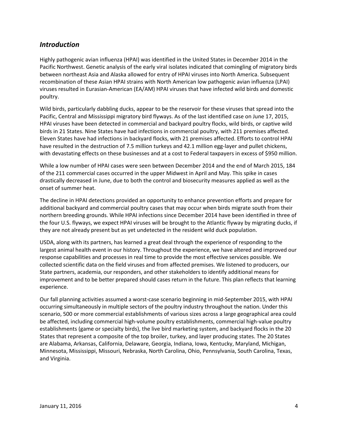### <span id="page-3-0"></span>*Introduction*

Highly pathogenic avian influenza (HPAI) was identified in the United States in December 2014 in the Pacific Northwest. Genetic analysis of the early viral isolates indicated that comingling of migratory birds between northeast Asia and Alaska allowed for entry of HPAI viruses into North America. Subsequent recombination of these Asian HPAI strains with North American low pathogenic avian influenza (LPAI) viruses resulted in Eurasian-American (EA/AM) HPAI viruses that have infected wild birds and domestic poultry.

Wild birds, particularly dabbling ducks, appear to be the reservoir for these viruses that spread into the Pacific, Central and Mississippi migratory bird flyways. As of the last identified case on June 17, 2015, HPAI viruses have been detected in commercial and backyard poultry flocks, wild birds, or captive wild birds in 21 States. Nine States have had infections in commercial poultry, with 211 premises affected. Eleven States have had infections in backyard flocks, with 21 premises affected. Efforts to control HPAI have resulted in the destruction of 7.5 million turkeys and 42.1 million egg-layer and pullet chickens, with devastating effects on these businesses and at a cost to Federal taxpayers in excess of \$950 million.

While a low number of HPAI cases were seen between December 2014 and the end of March 2015, 184 of the 211 commercial cases occurred in the upper Midwest in April and May. This spike in cases drastically decreased in June, due to both the control and biosecurity measures applied as well as the onset of summer heat.

The decline in HPAI detections provided an opportunity to enhance prevention efforts and prepare for additional backyard and commercial poultry cases that may occur when birds migrate south from their northern breeding grounds. While HPAI infections since December 2014 have been identified in three of the four U.S. flyways, we expect HPAI viruses will be brought to the Atlantic flyway by migrating ducks, if they are not already present but as yet undetected in the resident wild duck population.

USDA, along with its partners, has learned a great deal through the experience of responding to the largest animal health event in our history. Throughout the experience, we have altered and improved our response capabilities and processes in real time to provide the most effective services possible. We collected scientific data on the field viruses and from affected premises. We listened to producers, our State partners, academia, our responders, and other stakeholders to identify additional means for improvement and to be better prepared should cases return in the future. This plan reflects that learning experience.

Our fall planning activities assumed a worst-case scenario beginning in mid-September 2015, with HPAI occurring simultaneously in multiple sectors of the poultry industry throughout the nation. Under this scenario, 500 or more commercial establishments of various sizes across a large geographical area could be affected, including commercial high-volume poultry establishments, commercial high-value poultry establishments (game or specialty birds), the live bird marketing system, and backyard flocks in the 20 States that represent a composite of the top broiler, turkey, and layer producing states. The 20 States are Alabama, Arkansas, California, Delaware, Georgia, Indiana, Iowa, Kentucky, Maryland, Michigan, Minnesota, Mississippi, Missouri, Nebraska, North Carolina, Ohio, Pennsylvania, South Carolina, Texas, and Virginia.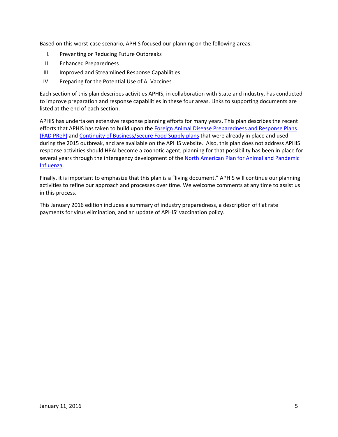Based on this worst-case scenario, APHIS focused our planning on the following areas:

- I. Preventing or Reducing Future Outbreaks
- II. Enhanced Preparedness
- III. Improved and Streamlined Response Capabilities
- IV. Preparing for the Potential Use of AI Vaccines

Each section of this plan describes activities APHIS, in collaboration with State and industry, has conducted to improve preparation and response capabilities in these four areas. Links to supporting documents are listed at the end of each section.

APHIS has undertaken extensive response planning efforts for many years. This plan describes the recent efforts that APHIS has taken to build upon the Foreign Animal Disease Preparedness and Response Plans (FAD [PReP\)](https://www.aphis.usda.gov/wps/portal/aphis/ourfocus/animalhealth/sa_emergency_management/ct_fadprep) and [Continuity of Business/Secure Food](https://www.aphis.usda.gov/wps/portal/aphis/ourfocus/animalhealth/sa_emergency_management/ct_fadprep_continuity_of_business) Supply plans that were already in place and used during the 2015 outbreak, and are available on the APHIS website. Also, this plan does not address APHIS response activities should HPAI become a zoonotic agent; planning for that possibility has been in place for several years through the interagency development of th[e North American Plan for Animal and Pandemic](http://www.phe.gov/Preparedness/international/Documents/napapi.pdf)  [Influenza.](http://www.phe.gov/Preparedness/international/Documents/napapi.pdf)

Finally, it is important to emphasize that this plan is a "living document." APHIS will continue our planning activities to refine our approach and processes over time. We welcome comments at any time to assist us in this process.

This January 2016 edition includes a summary of industry preparedness, a description of flat rate payments for virus elimination, and an update of APHIS' vaccination policy.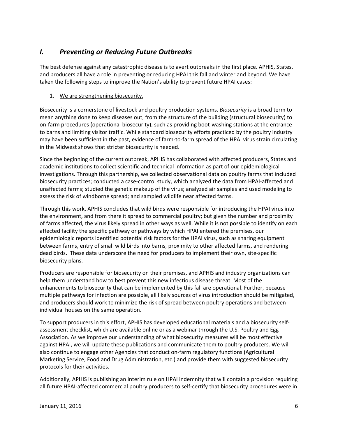## <span id="page-5-0"></span>*I. Preventing or Reducing Future Outbreaks*

The best defense against any catastrophic disease is to avert outbreaks in the first place. APHIS, States, and producers all have a role in preventing or reducing HPAI this fall and winter and beyond. We have taken the following steps to improve the Nation's ability to prevent future HPAI cases:

#### <span id="page-5-1"></span>1. We are strengthening biosecurity.

Biosecurity is a cornerstone of livestock and poultry production systems. *Biosecurity* is a broad term to mean anything done to keep diseases out, from the structure of the building (structural biosecurity) to on-farm procedures (operational biosecurity), such as providing boot-washing stations at the entrance to barns and limiting visitor traffic. While standard biosecurity efforts practiced by the poultry industry may have been sufficient in the past, evidence of farm-to-farm spread of the HPAI virus strain circulating in the Midwest shows that stricter biosecurity is needed.

Since the beginning of the current outbreak, APHIS has collaborated with affected producers, States and academic institutions to collect scientific and technical information as part of our epidemiological investigations. Through this partnership, we collected observational data on poultry farms that included biosecurity practices; conducted a case-control study, which analyzed the data from HPAI-affected and unaffected farms; studied the genetic makeup of the virus; analyzed air samples and used modeling to assess the risk of windborne spread; and sampled wildlife near affected farms.

Through this work, APHIS concludes that wild birds were responsible for introducing the HPAI virus into the environment, and from there it spread to commercial poultry; but given the number and proximity of farms affected, the virus likely spread in other ways as well. While it is not possible to identify on each affected facility the specific pathway or pathways by which HPAI entered the premises, our epidemiologic reports identified potential risk factors for the HPAI virus, such as sharing equipment between farms, entry of small wild birds into barns, proximity to other affected farms, and rendering dead birds. These data underscore the need for producers to implement their own, site-specific biosecurity plans.

Producers are responsible for biosecurity on their premises, and APHIS and industry organizations can help them understand how to best prevent this new infectious disease threat. Most of the enhancements to biosecurity that can be implemented by this fall are operational. Further, because multiple pathways for infection are possible, all likely sources of virus introduction should be mitigated, and producers should work to minimize the risk of spread between poultry operations and between individual houses on the same operation.

To support producers in this effort, APHIS has developed educational materials and a biosecurity selfassessment checklist, which are available online or as a webinar through the U.S. Poultry and Egg Association. As we improve our understanding of what biosecurity measures will be most effective against HPAI, we will update these publications and communicate them to poultry producers. We will also continue to engage other Agencies that conduct on-farm regulatory functions (Agricultural Marketing Service, Food and Drug Administration, etc.) and provide them with suggested biosecurity protocols for their activities.

Additionally, APHIS is publishing an interim rule on HPAI indemnity that will contain a provision requiring all future HPAI-affected commercial poultry producers to self-certify that biosecurity procedures were in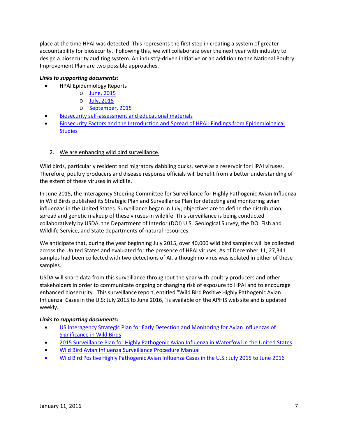place at the time HPAI was detected. This represents the first step in creating a system of greater accountability for biosecurity. Following this, we will collaborate over the next year with industry to design a biosecurity auditing system. An industry-driven initiative or an addition to the National Poultry Improvement Plan are two possible approaches.

#### *Links to supporting documents:*

- HPAI Epidemiology Reports
	- o [June, 2015](https://www.aphis.usda.gov/animal_health/animal_dis_spec/poultry/downloads/Epidemiologic-Analysis-June-15-2015.pdf)
	- o [July, 2015](http://www.aphis.usda.gov/animal_health/animal_dis_spec/poultry/downloads/Epidemiologic-Analysis-July-15-2015.pdf)
	- o [September, 2015](https://www.aphis.usda.gov/animal_health/animal_dis_spec/poultry/downloads/Epidemiologic-Analysis-Sept-2015.pdf)
- [Biosecurity self-assessment](http://www.uspoultry.org/animal_husbandry/intro.cfm) and educational materials
- [Biosecurity Factors and the Introduction and Spread of HPAI: Findings from Epidemiological](https://www.aphis.usda.gov/animal_health/downloads/animal_diseases/ai/hpai-biosecurity-factors-introduction-and-spread.pdf)  **[Studies](https://www.aphis.usda.gov/animal_health/downloads/animal_diseases/ai/hpai-biosecurity-factors-introduction-and-spread.pdf)**

#### <span id="page-6-0"></span>2. We are enhancing wild bird surveillance.

Wild birds, particularly resident and migratory dabbling ducks, serve as a reservoir for HPAI viruses. Therefore, poultry producers and disease response officials will benefit from a better understanding of the extent of these viruses in wildlife.

In June 2015, the Interagency Steering Committee for Surveillance for Highly Pathogenic Avian Influenza in Wild Birds published its Strategic Plan and Surveillance Plan for detecting and monitoring avian influenzas in the United States. Surveillance began in July; objectives are to define the distribution, spread and genetic makeup of these viruses in wildlife. This surveillance is being conducted collaboratively by USDA, the Department of Interior (DOI) U.S. Geological Survey, the DOI Fish and Wildlife Service, and State departments of natural resources.

We anticipate that, during the year beginning July 2015, over 40,000 wild bird samples will be collected across the United States and evaluated for the presence of HPAI viruses. As of December 11, 27,341 samples had been collected with two detections of AI, although no virus was isolated in either of these samples.

USDA will share data from this surveillance throughout the year with poultry producers and other stakeholders in order to communicate ongoing or changing risk of exposure to HPAI and to encourage enhanced biosecurity. This surveillance report, entitled "Wild Bird Positive Highly Pathogenic Avian Influenza Cases in the U.S: July 2015 to June 2016," is available on the APHIS web site and is updated weekly.

- [US Interagency Strategic Plan for Early Detection and Monitoring for Avian Influenzas of](https://www.aphis.usda.gov/animal_health/downloads/animal_diseases/ai/wild-bird-strategic-plan.pdf)  [Significance in Wild Birds](https://www.aphis.usda.gov/animal_health/downloads/animal_diseases/ai/wild-bird-strategic-plan.pdf)
- [2015 Surveillance Plan for Highly Pathogenic Avian Influenza in Waterfowl in the United States](https://www.aphis.usda.gov/animal_health/downloads/animal_diseases/ai/2015-hpai-surveillance-plan.pdf)
- [Wild Bird Avian Influenza Surveillance Procedure Manual](https://www.aphis.usda.gov/wildlife_damage/nwdp/pdf/2015%20AI%20Procedures%20Manual%20v3%208-7-15.pdf)
- Wild Bird Positive Highly Pathogenic Avian Influenza Casesin the [U.S.: July 2015 to June 2016](https://www.aphis.usda.gov/animal_health/downloads/animal_diseases/ai/july2015-june2016wildbirdpositivehpaicasesintheus.pdf)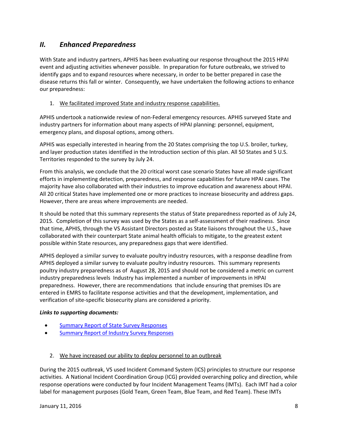## <span id="page-7-0"></span>*II. Enhanced Preparedness*

With State and industry partners, APHIS has been evaluating our response throughout the 2015 HPAI event and adjusting activities whenever possible. In preparation for future outbreaks, we strived to identify gaps and to expand resources where necessary, in order to be better prepared in case the disease returns this fall or winter. Consequently, we have undertaken the following actions to enhance our preparedness:

#### <span id="page-7-1"></span>1. We facilitated improved State and industry response capabilities.

APHIS undertook a nationwide review of non-Federal emergency resources. APHIS surveyed State and industry partners for information about many aspects of HPAI planning: personnel, equipment, emergency plans, and disposal options, among others.

APHIS was especially interested in hearing from the 20 States comprising the top U.S. broiler, turkey, and layer production states identified in the Introduction section of this plan. All 50 States and 5 U.S. Territories responded to the survey by July 24.

From this analysis, we conclude that the 20 critical worst case scenario States have all made significant efforts in implementing detection, preparedness, and response capabilities for future HPAI cases. The majority have also collaborated with their industries to improve education and awareness about HPAI. All 20 critical States have implemented one or more practices to increase biosecurity and address gaps. However, there are areas where improvements are needed.

It should be noted that this summary represents the status of State preparedness reported as of July 24, 2015. Completion of this survey was used by the States as a self-assessment of their readiness. Since that time, APHIS, through the VS Assistant Directors posted as State liaisons throughout the U.S., have collaborated with their counterpart State animal health officials to mitigate, to the greatest extent possible within State resources, any preparedness gaps that were identified.

APHIS deployed a similar survey to evaluate poultry industry resources, with a response deadline from APHIS deployed a similar survey to evaluate poultry industry resources. This summary represents poultry industry preparedness as of August 28, 2015 and should not be considered a metric on current industry preparedness levels Industry has implemented a number of improvements in HPAI preparedness. However, there are recommendations that include ensuring that premises IDs are entered in EMRS to facilitate response activities and that the development, implementation, and verification of site-specific biosecurity plans are considered a priority.

#### *Links to supporting documents:*

- [Summary Report of State Survey Responses](https://www.aphis.usda.gov/animal_health/downloads/animal_diseases/ai/state-survey-results.pdf)
- [Summary Report of Industry Survey Responses](https://www.aphis.usda.gov/animal_health/animal_dis_spec/poultry/downloads/hpai_industry_survey.pdf)
	- 2. We have increased our ability to deploy personnel to an outbreak

<span id="page-7-2"></span>During the 2015 outbreak, VS used Incident Command System (ICS) principles to structure our response activities. A National Incident Coordination Group (ICG) provided overarching policy and direction, while response operations were conducted by four Incident Management Teams (IMTs). Each IMT had a color label for management purposes (Gold Team, Green Team, Blue Team, and Red Team). These IMTs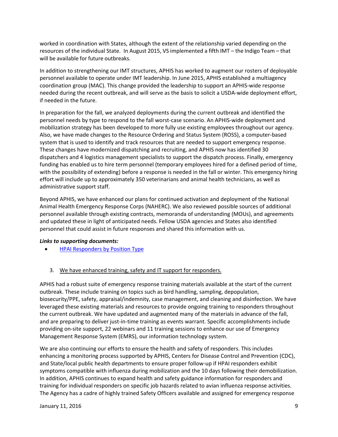worked in coordination with States, although the extent of the relationship varied depending on the resources of the individual State. In August 2015, VS implemented a fifth IMT – the Indigo Team – that will be available for future outbreaks.

In addition to strengthening our IMT structures, APHIS has worked to augment our rosters of deployable personnel available to operate under IMT leadership. In June 2015, APHIS established a multiagency coordination group (MAC). This change provided the leadership to support an APHIS-wide response needed during the recent outbreak, and will serve as the basis to solicit a USDA-wide deployment effort, if needed in the future.

In preparation for the fall, we analyzed deployments during the current outbreak and identified the personnel needs by type to respond to the fall worst-case scenario. An APHIS-wide deployment and mobilization strategy has been developed to more fully use existing employees throughout our agency. Also, we have made changes to the Resource Ordering and Status System (ROSS), a computer-based system that is used to identify and track resources that are needed to support emergency response. These changes have modernized dispatching and recruiting, and APHIS now has identified 30 dispatchers and 4 logistics management specialists to support the dispatch process. Finally, emergency funding has enabled us to hire term personnel (temporary employees hired for a defined period of time, with the possibility of extending) before a response is needed in the fall or winter. This emergency hiring effort will include up to approximately 350 veterinarians and animal health technicians, as well as administrative support staff.

Beyond APHIS, we have enhanced our plans for continued activation and deployment of the National Animal Health Emergency Response Corps (NAHERC). We also reviewed possible sources of additional personnel available through existing contracts, memoranda of understanding (MOUs), and agreements and updated these in light of anticipated needs. Fellow USDA agencies and States also identified personnel that could assist in future responses and shared this information with us.

#### *Links to supporting documents:*

- <span id="page-8-0"></span>• [HPAI Responders by Position](https://www.aphis.usda.gov/animal_health/downloads/animal_diseases/ai/hpai-responders-by-position-type.pdf) Type
	- 3. We have enhanced training, safety and IT support for responders.

APHIS had a robust suite of emergency response training materials available at the start of the current outbreak. These include training on topics such as bird handling, sampling, depopulation, biosecurity/PPE, safety, appraisal/indemnity, case management, and cleaning and disinfection. We have leveraged these existing materials and resources to provide ongoing training to responders throughout the current outbreak. We have updated and augmented many of the materials in advance of the fall, and are preparing to deliver just-in-time training as events warrant. Specific accomplishments include providing on-site support, 22 webinars and 11 training sessions to enhance our use of Emergency Management Response System (EMRS), our information technology system.

We are also continuing our efforts to ensure the health and safety of responders. This includes enhancing a monitoring process supported by APHIS, Centers for Disease Control and Prevention (CDC), and State/local public health departments to ensure proper follow-up if HPAI responders exhibit symptoms compatible with influenza during mobilization and the 10 days following their demobilization. In addition, APHIS continues to expand health and safety guidance information for responders and training for individual responders on specific job hazards related to avian influenza response activities. The Agency has a cadre of highly trained Safety Officers available and assigned for emergency response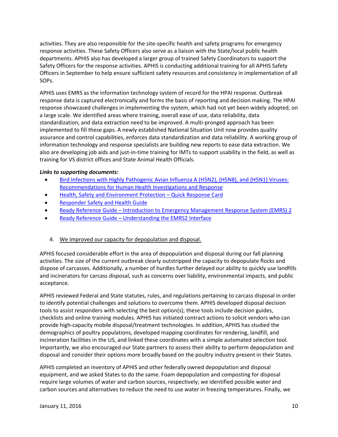activities. They are also responsible for the site-specific health and safety programs for emergency response activities. These Safety Officers also serve as a liaison with the State/local public health departments. APHIS also has developed a larger group of trained Safety Coordinators to support the Safety Officers for the response activities. APHIS is conducting additional training for all APHIS Safety Officers in September to help ensure sufficient safety resources and consistency in implementation of all SOPs.

APHIS uses EMRS as the information technology system of record for the HPAI response. Outbreak response data is captured electronically and forms the basis of reporting and decision making. The HPAI response showcased challenges in implementing the system, which had not yet been widely adopted, on a large scale. We identified areas where training, overall ease of use, data reliability, data standardization, and data extraction need to be improved. A multi-pronged approach has been implemented to fill these gaps. A newly established National Situation Unit now provides quality assurance and control capabilities, enforces data standardization and data reliability. A working group of information technology and response specialists are building new reports to ease data extraction. We also are developing job aids and just-in-time training for IMTs to support usability in the field, as well as training for VS district offices and State Animal Health Officials.

#### *Links to supporting documents:*

- [Bird Infections with Highly Pathogenic Avian Influenza A \(H5N2\), \(H5N8\), and \(H5N1\) Viruses:](http://emergency.cdc.gov/han/han00378.asp)  [Recommendations for Human Health Investigations and Response](http://emergency.cdc.gov/han/han00378.asp)
- [Health, Safety and Environment Protection –](https://www.aphis.usda.gov/animal_health/emergency_management/downloads/hpai/hs_quick_response_card.pdf) Quick Response Card
- [Responder Safety and Health Guide](https://www.aphis.usda.gov/animal_health/downloads/animal_diseases/ai/incident-responder-safety-health-guide.pdf)
- Ready Reference Guide [Introduction to Emergency Management Response](https://www.aphis.usda.gov/animal_health/emergency_management/downloads/emrs_rrg_intro.pdf) System (EMRS) 2
- Ready Reference Guide [Understanding the EMRS2 Interface](https://www.aphis.usda.gov/animal_health/emergency_management/downloads/emrs_rrg_interface.pdf)

#### <span id="page-9-0"></span>4. We improved our capacity for depopulation and disposal.

APHIS focused considerable effort in the area of depopulation and disposal during our fall planning activities. The size of the current outbreak clearly outstripped the capacity to depopulate flocks and dispose of carcasses. Additionally, a number of hurdles further delayed our ability to quickly use landfills and incinerators for carcass disposal, such as concerns over liability, environmental impacts, and public acceptance.

APHIS reviewed Federal and State statutes, rules, and regulations pertaining to carcass disposal in order to identify potential challenges and solutions to overcome them. APHIS developed disposal decision tools to assist responders with selecting the best option(s); these tools include decision guides, checklists and online training modules. APHIS has initiated contract actions to solicit vendors who can provide high-capacity mobile disposal/treatment technologies. In addition, APHIS has studied the demographics of poultry populations, developed mapping coordinates for rendering, landfill, and incineration facilities in the US, and linked these coordinates with a simple automated selection tool. Importantly, we also encouraged our State partners to assess their ability to perform depopulation and disposal and consider their options more broadly based on the poultry industry present in their States.

APHIS completed an inventory of APHIS and other federally owned depopulation and disposal equipment, and we asked States to do the same. Foam depopulation and composting for disposal require large volumes of water and carbon sources, respectively; we identified possible water and carbon sources and alternatives to reduce the need to use water in freezing temperatures. Finally, we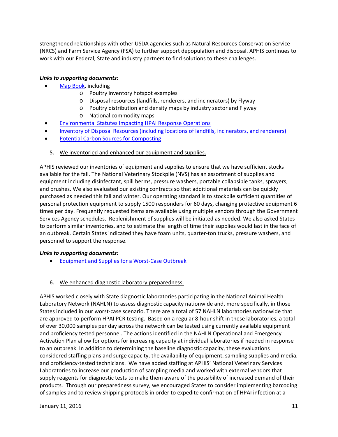strengthened relationships with other USDA agencies such as Natural Resources Conservation Service (NRCS) and Farm Service Agency (FSA) to further support depopulation and disposal. APHIS continues to work with our Federal, State and industry partners to find solutions to these challenges.

#### *Links to supporting documents:*

- [Map Book,](https://www.aphis.usda.gov/animal_health/downloads/animal_diseases/ai/hpai-fall-planning-map-book.pdf) including
	- o Poultry inventory hotspot examples
	- o Disposal resources (landfills, renderers, and incinerators) by Flyway
	- o Poultry distribution and density maps by industry sector and Flyway
		- o National commodity maps
- [Environmental Statutes Impacting HPAI Response Operations](https://www.aphis.usda.gov/animal_health/downloads/animal_diseases/ai/hpai-environmental-statutes.pdf)
- [Inventory of Disposal Resources \(including locations of landfills, incinerators, and renderers\)](https://www.aphis.usda.gov/animal_health/downloads/animal_diseases/ai/hpai-inventory-of-disposal-resources.pdf)
- <span id="page-10-0"></span>**[Potential Carbon Sources for Composting](https://www.aphis.usda.gov/animal_health/downloads/animal_diseases/ai/hpai-potential-carbon-sources.pdf)**
- 5. We inventoried and enhanced our equipment and supplies.

APHIS reviewed our inventories of equipment and supplies to ensure that we have sufficient stocks available for the fall. The National Veterinary Stockpile (NVS) has an assortment of supplies and equipment including disinfectant, spill berms, pressure washers, portable collapsible tanks, sprayers, and brushes. We also evaluated our existing contracts so that additional materials can be quickly purchased as needed this fall and winter. Our operating standard is to stockpile sufficient quantities of personal protection equipment to supply 1500 responders for 60 days, changing protective equipment 6 times per day. Frequently requested items are available using multiple vendors through the Government Services Agency schedules. Replenishment of supplies will be initiated as needed. We also asked States to perform similar inventories, and to estimate the length of time their supplies would last in the face of an outbreak. Certain States indicated they have foam units, quarter-ton trucks, pressure washers, and personnel to support the response.

#### *Links to supporting documents:*

- [Equipment and Supplies for a Worst-Case Outbreak](https://www.aphis.usda.gov/animal_health/downloads/animal_diseases/ai/equipment-supply-solutions-for-worst-case-outbreak.pdf)
- <span id="page-10-1"></span>6. We enhanced diagnostic laboratory preparedness.

APHIS worked closely with State diagnostic laboratories participating in the National Animal Health Laboratory Network (NAHLN) to assess diagnostic capacity nationwide and, more specifically, in those States included in our worst-case scenario. There are a total of 57 NAHLN laboratories nationwide that are approved to perform HPAI PCR testing. Based on a regular 8-hour shift in these laboratories, a total of over 30,000 samples per day across the network can be tested using currently available equipment and proficiency tested personnel. The actions identified in the NAHLN Operational and Emergency Activation Plan allow for options for increasing capacity at individual laboratories if needed in response to an outbreak. In addition to determining the baseline diagnostic capacity, these evaluations considered staffing plans and surge capacity, the availability of equipment, sampling supplies and media, and proficiency-tested technicians. We have added staffing at APHIS' National Veterinary Services Laboratories to increase our production of sampling media and worked with external vendors that supply reagents for diagnostic tests to make them aware of the possibility of increased demand of their products. Through our preparedness survey, we encouraged States to consider implementing barcoding of samples and to review shipping protocols in order to expedite confirmation of HPAI infection at a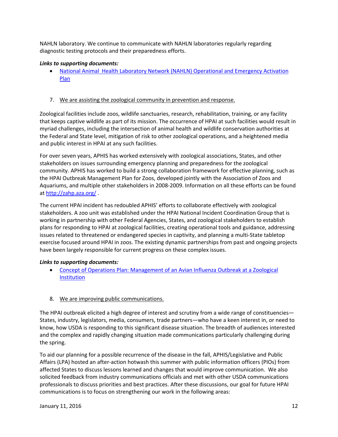NAHLN laboratory. We continue to communicate with NAHLN laboratories regularly regarding diagnostic testing protocols and their preparedness efforts.

#### *Links to supporting documents:*

• [National Animal Health Laboratory Network \(NAHLN\) Operational and Emergency Activation](https://www.aphis.usda.gov/animal_health/downloads/animal_diseases/ai/nahln-operational-emergency-activation-plan.pdf)  [Plan](https://www.aphis.usda.gov/animal_health/downloads/animal_diseases/ai/nahln-operational-emergency-activation-plan.pdf)

#### <span id="page-11-0"></span>7. We are assisting the zoological community in prevention and response.

Zoological facilities include zoos, wildlife sanctuaries, research, rehabilitation, training, or any facility that keeps captive wildlife as part of its mission. The occurrence of HPAI at such facilities would result in myriad challenges, including the intersection of animal health and wildlife conservation authorities at the Federal and State level, mitigation of risk to other zoological operations, and a heightened media and public interest in HPAI at any such facilities.

For over seven years, APHIS has worked extensively with zoological associations, States, and other stakeholders on issues surrounding emergency planning and preparedness for the zoological community. APHIS has worked to build a strong collaboration framework for effective planning, such as the HPAI Outbreak Management Plan for Zoos, developed jointly with the Association of Zoos and Aquariums, and multiple other stakeholders in 2008-2009. Information on all these efforts can be found at<http://zahp.aza.org/> .

The current HPAI incident has redoubled APHIS' efforts to collaborate effectively with zoological stakeholders. A zoo unit was established under the HPAI National Incident Coordination Group that is working in partnership with other Federal Agencies, States, and zoological stakeholders to establish plans for responding to HPAI at zoological facilities, creating operational tools and guidance, addressing issues related to threatened or endangered species in captivity, and planning a multi-State tabletop exercise focused around HPAI in zoos. The existing dynamic partnerships from past and ongoing projects have been largely responsible for current progress on these complex issues.

#### *Links to supporting documents:*

- [Concept of Operations Plan: Management of an Avian Influenza Outbreak at a Zoological](https://www.aphis.usda.gov/animal_health/downloads/animal_diseases/ai/hpai-zoo-conops.pdf)  **[Institution](https://www.aphis.usda.gov/animal_health/downloads/animal_diseases/ai/hpai-zoo-conops.pdf)**
- <span id="page-11-1"></span>8. We are improving public communications.

The HPAI outbreak elicited a high degree of interest and scrutiny from a wide range of constituencies— States, industry, legislators, media, consumers, trade partners—who have a keen interest in, or need to know, how USDA is responding to this significant disease situation. The breadth of audiences interested and the complex and rapidly changing situation made communications particularly challenging during the spring.

To aid our planning for a possible recurrence of the disease in the fall, APHIS/Legislative and Public Affairs (LPA) hosted an after-action hotwash this summer with public information officers (PIOs) from affected States to discuss lessons learned and changes that would improve communication. We also solicited feedback from industry communications officials and met with other USDA communications professionals to discuss priorities and best practices. After these discussions, our goal for future HPAI communications is to focus on strengthening our work in the following areas: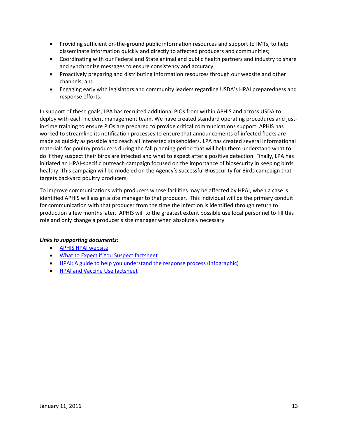- Providing sufficient on-the-ground public information resources and support to IMTs, to help disseminate information quickly and directly to affected producers and communities;
- Coordinating with our Federal and State animal and public health partners and industry to share and synchronize messages to ensure consistency and accuracy;
- Proactively preparing and distributing information resources through our website and other channels; and
- Engaging early with legislators and community leaders regarding USDA's HPAI preparedness and response efforts.

In support of these goals, LPA has recruited additional PIOs from within APHIS and across USDA to deploy with each incident management team. We have created standard operating procedures and justin-time training to ensure PIOs are prepared to provide critical communications support. APHIS has worked to streamline its notification processes to ensure that announcements of infected flocks are made as quickly as possible and reach all interested stakeholders. LPA has created several informational materials for poultry producers during the fall planning period that will help them understand what to do if they suspect their birds are infected and what to expect after a positive detection. Finally, LPA has initiated an HPAI-specific outreach campaign focused on the importance of biosecurity in keeping birds healthy. This campaign will be modeled on the Agency's successful Biosecurity for Birds campaign that targets backyard poultry producers.

To improve communications with producers whose facilities may be affected by HPAI, when a case is identified APHIS will assign a site manager to that producer. This individual will be the primary conduit for communication with that producer from the time the infection is identified through return to production a few months later. APHIS will to the greatest extent possible use local personnel to fill this role and only change a producer's site manager when absolutely necessary.

- [APHIS HPAI website](http://www.aphis.usda.gov/animal-health/aiupdates)
- [What to Expect if You Suspect factsheet](https://www.aphis.usda.gov/publications/animal_health/2015/fs-hpai-what-to-expect-if-you-suspect.pdf)
- [HPAI: A guide to help you understand the response process \(infographic\)](https://www.aphis.usda.gov/publications/animal_health/2015/poster-hpai-guide-to-understanding-the-process.pdf)
- [HPAI and Vaccine Use factsheet](https://www.aphis.usda.gov/publications/animal_health/2015/fs-hpai-vaccine-use.pdf)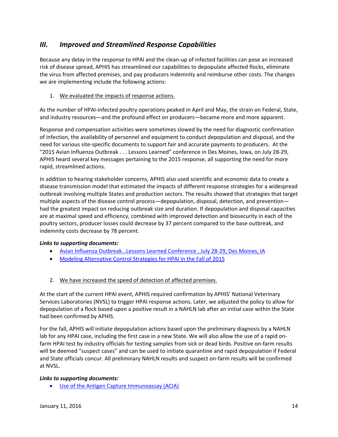## <span id="page-13-0"></span>*III. Improved and Streamlined Response Capabilities*

Because any delay in the response to HPAI and the clean-up of infected facilities can pose an increased risk of disease spread, APHIS has streamlined our capabilities to depopulate affected flocks, eliminate the virus from affected premises, and pay producers indemnity and reimburse other costs. The changes we are implementing include the following actions:

#### <span id="page-13-1"></span>1. We evaluated the impacts of response actions.

As the number of HPAI-infected poultry operations peaked in April and May, the strain on Federal, State, and industry resources—and the profound effect on producers—became more and more apparent.

Response and compensation activities were sometimes slowed by the need for diagnostic confirmation of infection, the availability of personnel and equipment to conduct depopulation and disposal, and the need for various site-specific documents to support fair and accurate payments to producers. At the "2015 Avian Influenza Outbreak . . . Lessons Learned" conference in Des Moines, Iowa, on July 28-29, APHIS heard several key messages pertaining to the 2015 response, all supporting the need for more rapid, streamlined actions.

In addition to hearing stakeholder concerns, APHIS also used scientific and economic data to create a disease transmission model that estimated the impacts of different response strategies for a widespread outbreak involving multiple States and production sectors. The results showed that strategies that target multiple aspects of the disease control process—depopulation, disposal, detection, and prevention had the greatest impact on reducing outbreak size and duration. If depopulation and disposal capacities are at maximal speed and efficiency, combined with improved detection and biosecurity in each of the poultry sectors, producer losses could decrease by 37 percent compared to the base outbreak, and indemnity costs decrease by 78 percent.

#### *Links to supporting documents:*

- [Avian Influenza Outbreak…Lessons Learned Conference , July 28-29, Des Moines, IA](https://www.aphis.usda.gov/animal_health/downloads/animal_diseases/ai/hpai-lessons-learned-conference-iowa.pdf)
- [Modeling Alternative Control Strategies for HPAI in the Fall of 2015](https://www.aphis.usda.gov/animal_health/downloads/animal_diseases/ai/hpai-modeling-alternative-control-strategies.pdf)
- <span id="page-13-2"></span>2. We have increased the speed of detection of affected premises.

At the start of the current HPAI event, APHIS required confirmation by APHIS' National Veterinary Services Laboratories (NVSL) to trigger HPAI response actions. Later, we adjusted the policy to allow for depopulation of a flock based upon a positive result in a NAHLN lab after an initial case within the State had been confirmed by APHIS.

For the fall, APHIS will initiate depopulation actions based upon the preliminary diagnosis by a NAHLN lab for any HPAI case, including the first case in a new State. We will also allow the use of a rapid onfarm HPAI test by industry officials for testing samples from sick or dead birds. Positive on-farm results will be deemed "suspect cases" and can be used to initiate quarantine and rapid depopulation if Federal and State officials concur. All preliminary NAHLN results and suspect on-farm results will be confirmed at NVSL.

#### *Links to supporting documents:*

• [Use of the Antigen Capture Immunoassay \(ACIA\)](https://www.aphis.usda.gov/animal_health/emergency_management/downloads/hpai/acia_testpolicy.pdf)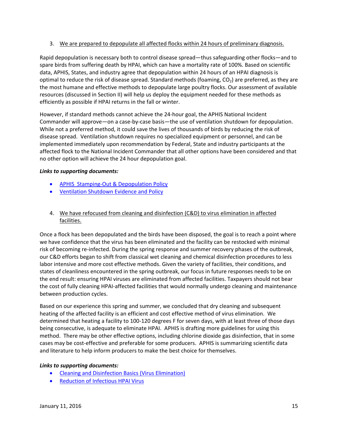#### <span id="page-14-0"></span>3. We are prepared to depopulate all affected flocks within 24 hours of preliminary diagnosis.

Rapid depopulation is necessary both to control disease spread—thus safeguarding other flocks—and to spare birds from suffering death by HPAI, which can have a mortality rate of 100%. Based on scientific data, APHIS, States, and industry agree that depopulation within 24 hours of an HPAI diagnosis is optimal to reduce the risk of disease spread. Standard methods (foaming,  $CO<sub>2</sub>$ ) are preferred, as they are the most humane and effective methods to depopulate large poultry flocks. Our assessment of available resources (discussed in Section II) will help us deploy the equipment needed for these methods as efficiently as possible if HPAI returns in the fall or winter.

However, if standard methods cannot achieve the 24-hour goal, the APHIS National Incident Commander will approve—on a case-by-case basis—the use of ventilation shutdown for depopulation. While not a preferred method, it could save the lives of thousands of birds by reducing the risk of disease spread. Ventilation shutdown requires no specialized equipment or personnel, and can be implemented immediately upon recommendation by Federal, State and industry participants at the affected flock to the National Incident Commander that all other options have been considered and that no other option will achieve the 24 hour depopulation goal.

#### *Links to supporting documents:*

- [APHIS Stamping-Out & Depopulation Policy](https://www.aphis.usda.gov/animal_health/emergency_management/downloads/hpai/depopulationpolicy.pdf)
- [Ventilation Shutdown Evidence and Policy](https://www.aphis.usda.gov/animal_health/emergency_management/downloads/hpai/ventilationshutdownpolicy.pdf)
- <span id="page-14-1"></span>4. We have refocused from cleaning and disinfection (C&D) to virus elimination in affected facilities.

Once a flock has been depopulated and the birds have been disposed, the goal is to reach a point where we have confidence that the virus has been eliminated and the facility can be restocked with minimal risk of becoming re-infected. During the spring response and summer recovery phases of the outbreak, our C&D efforts began to shift from classical wet cleaning and chemical disinfection procedures to less labor intensive and more cost effective methods. Given the variety of facilities, their conditions, and states of cleanliness encountered in the spring outbreak, our focus in future responses needs to be on the end result: ensuring HPAI viruses are eliminated from affected facilities. Taxpayers should not bear the cost of fully cleaning HPAI-affected facilities that would normally undergo cleaning and maintenance between production cycles.

Based on our experience this spring and summer, we concluded that dry cleaning and subsequent heating of the affected facility is an efficient and cost effective method of virus elimination. We determined that heating a facility to 100-120 degrees F for seven days, with at least three of those days being consecutive, is adequate to eliminate HPAI. APHIS is drafting more guidelines for using this method. There may be other effective options, including chlorine dioxide gas disinfection, that in some cases may be cost-effective and preferable for some producers. APHIS is summarizing scientific data and literature to help inform producers to make the best choice for themselves.

- [Cleaning and Disinfection Basics \(Virus Elimination\)](https://www.aphis.usda.gov/animal_health/emergency_management/downloads/hpai/cleaning_disinfection.pdf)
- [Reduction of Infectious HPAI](https://www.aphis.usda.gov/animal_health/downloads/animal_diseases/ai/hpai-reduction-of-infectious.pdf) Virus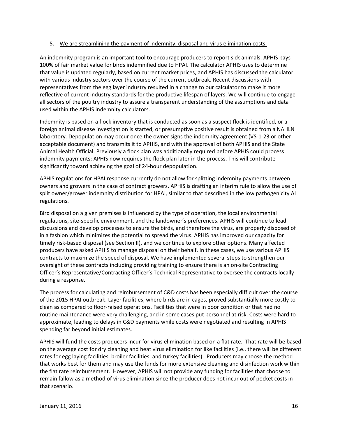#### <span id="page-15-0"></span>5. We are streamlining the payment of indemnity, disposal and virus elimination costs.

An indemnity program is an important tool to encourage producers to report sick animals. APHIS pays 100% of fair market value for birds indemnified due to HPAI. The calculator APHIS uses to determine that value is updated regularly, based on current market prices, and APHIS has discussed the calculator with various industry sectors over the course of the current outbreak. Recent discussions with representatives from the egg layer industry resulted in a change to our calculator to make it more reflective of current industry standards for the productive lifespan of layers. We will continue to engage all sectors of the poultry industry to assure a transparent understanding of the assumptions and data used within the APHIS indemnity calculators.

Indemnity is based on a flock inventory that is conducted as soon as a suspect flock is identified, or a foreign animal disease investigation is started, or presumptive positive result is obtained from a NAHLN laboratory. Depopulation may occur once the owner signs the indemnity agreement (VS-1-23 or other acceptable document) and transmits it to APHIS, and with the approval of both APHIS and the State Animal Health Official. Previously a flock plan was additionally required before APHIS could process indemnity payments; APHIS now requires the flock plan later in the process. This will contribute significantly toward achieving the goal of 24-hour depopulation.

APHIS regulations for HPAI response currently do not allow for splitting indemnity payments between owners and growers in the case of contract growers. APHIS is drafting an interim rule to allow the use of split owner/grower indemnity distribution for HPAI, similar to that described in the low pathogenicity AI regulations.

Bird disposal on a given premises is influenced by the type of operation, the local environmental regulations, site-specific environment, and the landowner's preferences. APHIS will continue to lead discussions and develop processes to ensure the birds, and therefore the virus, are properly disposed of in a fashion which minimizes the potential to spread the virus. APHIS has improved our capacity for timely risk-based disposal (see Section II), and we continue to explore other options. Many affected producers have asked APHIS to manage disposal on their behalf. In these cases, we use various APHIS contracts to maximize the speed of disposal. We have implemented several steps to strengthen our oversight of these contracts including providing training to ensure there is an on-site Contracting Officer's Representative/Contracting Officer's Technical Representative to oversee the contracts locally during a response.

The process for calculating and reimbursement of C&D costs has been especially difficult over the course of the 2015 HPAI outbreak. Layer facilities, where birds are in cages, proved substantially more costly to clean as compared to floor-raised operations. Facilities that were in poor condition or that had no routine maintenance were very challenging, and in some cases put personnel at risk. Costs were hard to approximate, leading to delays in C&D payments while costs were negotiated and resulting in APHIS spending far beyond initial estimates.

APHIS will fund the costs producers incur for virus elimination based on a flat rate. That rate will be based on the average cost for dry cleaning and heat virus elimination for like facilities (i.e., there will be different rates for egg laying facilities, broiler facilities, and turkey facilities). Producers may choose the method that works best for them and may use the funds for more extensive cleaning and disinfection work within the flat rate reimbursement. However, APHIS will not provide any funding for facilities that choose to remain fallow as a method of virus elimination since the producer does not incur out of pocket costs in that scenario.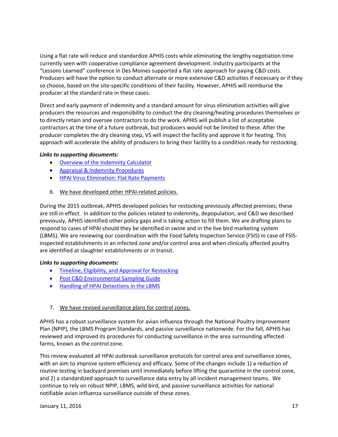Using a flat rate will reduce and standardize APHIS costs while eliminating the lengthy negotiation time currently seen with cooperative compliance agreement development. Industry participants at the "Lessons Learned" conference in Des Moines supported a flat rate approach for paying C&D costs. Producers will have the option to conduct alternate or more extensive C&D activities if necessary or if they so choose, based on the site-specific conditions of their facility. However, APHIS will reimburse the producer at the standard rate in these cases.

Direct and early payment of indemnity and a standard amount for virus elimination activities will give producers the resources and responsibility to conduct the dry cleaning/heating procedures themselves or to directly retain and oversee contractors to do the work. APHIS will publish a list of acceptable contractors at the time of a future outbreak, but producers would not be limited to these. After the producer completes the dry cleaning step, VS will inspect the facility and approve it for heating. This approach will accelerate the ability of producers to bring their facility to a condition ready for restocking.

#### *Links to supporting documents:*

- Overview [of the Indemnity Calculator](https://www.aphis.usda.gov/animal_health/downloads/animal_diseases/ai/overview-of-commercial-poultry-calculators.pdf)
- [Appraisal & Indemnity Procedures](https://www.aphis.usda.gov/wps/portal/aphis/ourfocus/animalhealth/sa_emergency_management/ct_fadprep/)
- <span id="page-16-0"></span>• [HPAI Virus Elimination: Flat Rate Payments](https://www.aphis.usda.gov/animal_health/animal_dis_spec/poultry/downloads/hpai_flat_rate.pdf)
- 6. We have developed other HPAI-related policies.

During the 2015 outbreak, APHIS developed policies for restocking previously affected premises; these are still in effect. In addition to the policies related to indemnity, depopulation, and C&D we described previously, APHIS identified other policy gaps and is taking action to fill them. We are drafting plans to respond to cases of HPAI should they be identified in swine and in the live bird marketing system (LBMS). We are reviewing our coordination with the Food Safety Inspection Service (FSIS) in case of FSISinspected establishments in an infected zone and/or control area and when clinically affected poultry are identified at slaughter establishments or in transit.

#### *Links to supporting documents:*

- [Timeline, Eligibility, and Approval for Restocking](https://www.aphis.usda.gov/animal_health/emergency_management/downloads/hpai/criteriarestock.pdf)
- [Post C&D Environmental Sampling Guide](https://www.aphis.usda.gov/animal_health/emergency_management/downloads/hpai/env_sampling_proced.pdf)
- [Handling of HPAI Detections in the LBMS](https://www.aphis.usda.gov/animal_health/emergency_management/downloads/hpai/lbms.pdf)

#### <span id="page-16-1"></span>7. We have revised surveillance plans for control zones.

APHIS has a robust surveillance system for avian influenza through the National Poultry Improvement Plan (NPIP), the LBMS Program Standards, and passive surveillance nationwide. For the fall, APHIS has reviewed and improved its procedures for conducting surveillance in the area surrounding affected farms, known as the control zone.

This review evaluated all HPAI outbreak surveillance protocols for control area and surveillance zones, with an aim to improve system efficiency and efficacy. Some of the changes include 1) a reduction of routine testing in backyard premises until immediately before lifting the quarantine in the control zone, and 2) a standardized approach to surveillance data entry by all incident management teams. We continue to rely on robust NPIP, LBMS, wild bird, and passive surveillance activities for national notifiable avian influenza surveillance outside of these zones.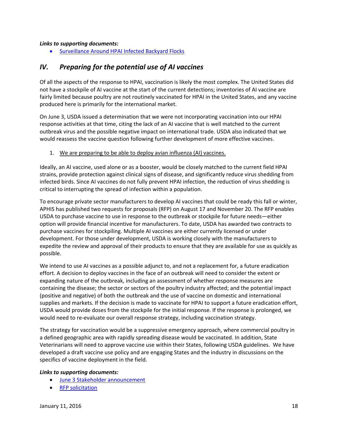#### *Links to supporting documents:*

• [Surveillance Around HPAI Infected Backyard Flocks](https://www.aphis.usda.gov/animal_health/emergency_management/downloads/hpai/survsampling_byflocks.pdf)

### <span id="page-17-0"></span>*IV. Preparing for the potential use of AI vaccines*

Of all the aspects of the response to HPAI, vaccination is likely the most complex. The United States did not have a stockpile of AI vaccine at the start of the current detections; inventories of AI vaccine are fairly limited because poultry are not routinely vaccinated for HPAI in the United States, and any vaccine produced here is primarily for the international market.

On June 3, USDA issued a determination that we were not incorporating vaccination into our HPAI response activities at that time, citing the lack of an AI vaccine that is well matched to the current outbreak virus and the possible negative impact on international trade. USDA also indicated that we would reassess the vaccine question following further development of more effective vaccines.

#### <span id="page-17-1"></span>1. We are preparing to be able to deploy avian influenza (AI) vaccines.

Ideally, an AI vaccine, used alone or as a booster, would be closely matched to the current field HPAI strains, provide protection against clinical signs of disease, and significantly reduce virus shedding from infected birds. Since AI vaccines do not fully prevent HPAI infection, the reduction of virus shedding is critical to interrupting the spread of infection within a population.

To encourage private sector manufacturers to develop AI vaccines that could be ready this fall or winter, APHIS has published two requests for proposals (RFP) on August 17 and November 20. The RFP enables USDA to purchase vaccine to use in response to the outbreak or stockpile for future needs—either option will provide financial incentive for manufacturers. To date, USDA has awarded two contracts to purchase vaccines for stockpiling. Multiple AI vaccines are either currently licensed or under development. For those under development, USDA is working closely with the manufacturers to expedite the review and approval of their products to ensure that they are available for use as quickly as possible.

We intend to use AI vaccines as a possible adjunct to, and not a replacement for, a future eradication effort. A decision to deploy vaccines in the face of an outbreak will need to consider the extent or expanding nature of the outbreak, including an assessment of whether response measures are containing the disease; the sector or sectors of the poultry industry affected; and the potential impact (positive and negative) of both the outbreak and the use of vaccine on domestic and international supplies and markets. If the decision is made to vaccinate for HPAI to support a future eradication effort, USDA would provide doses from the stockpile for the initial response. If the response is prolonged, we would need to re-evaluate our overall response strategy, including vaccination strategy.

The strategy for vaccination would be a suppressive emergency approach, where commercial poultry in a defined geographic area with rapidly spreading disease would be vaccinated. In addition, State Veterinarians will need to approve vaccine use within their States, following USDA guidelines. We have developed a draft vaccine use policy and are engaging States and the industry in discussions on the specifics of vaccine deployment in the field.

- [June 3 Stakeholder announcement](https://www.aphis.usda.gov/wps/portal/aphis/newsroom/news/sa_stakeholder_announcements/sa_by_date/sa_2015/sa_06/ct_hpai_vaccine_criteria/)
- [RFP solicitation](https://www.fbo.gov/index?s=opportunity&mode=form&id=56f3e86d4538b147c5803c4e335ad9f6&tab=core&_cview=1)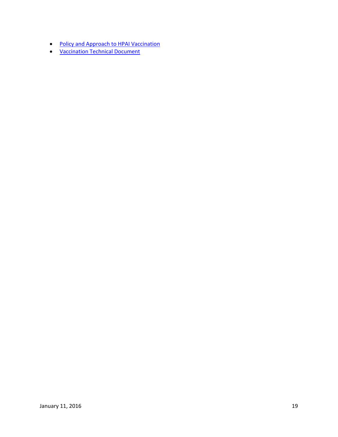- [Policy and Approach to HPAI Vaccination](https://www.aphis.usda.gov/animal_health/animal_dis_spec/poultry/downloads/hpai_policy.pdf)
- [Vaccination Technical Document](https://www.aphis.usda.gov/animal_health/downloads/animal_diseases/ai/hpai-vaccination-technical-doc.pdf)